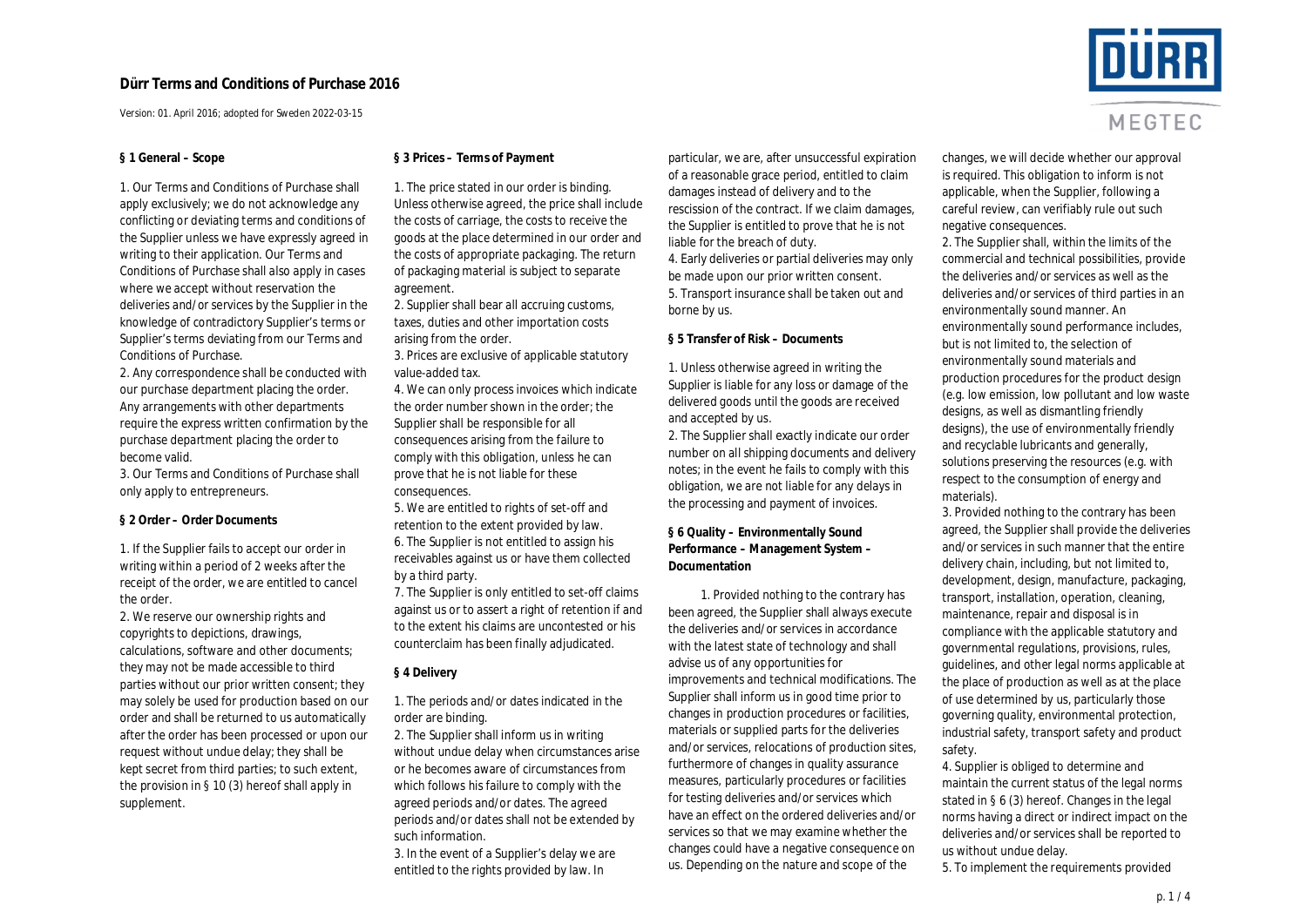Version: 01. April 2016; adopted for Sweden 2022-03-15

#### **§ 1 General – Scope**

1. Our Terms and Conditions of Purchase shall apply exclusively; we do not acknowledge any conflicting or deviating terms and conditions of the Supplier unless we have expressly agreed in writing to their application. Our Terms and Conditions of Purchase shall also apply in cases where we accept without reservation the deliveries and/or services by the Supplier in the knowledge of contradictory Supplier's terms or Supplier's terms deviating from our Terms and Conditions of Purchase.

2. Any correspondence shall be conducted with our purchase department placing the order. Any arrangements with other departments require the express written confirmation by the purchase department placing the order to become valid.

3. Our Terms and Conditions of Purchase shall only apply to entrepreneurs.

**§ 2 Order – Order Documents**

1. If the Supplier fails to accept our order in writing within a period of 2 weeks after the receipt of the order, we are entitled to cancel the order.

2. We reserve our ownership rights and copyrights to depictions, drawings, calculations, software and other documents; they may not be made accessible to third parties without our prior written consent; they may solely be used for production based on our order and shall be returned to us automatically after the order has been processed or upon our request without undue delay; they shall be kept secret from third parties; to such extent, the provision in § 10 (3) hereof shall apply in supplement.

**§ 3 Prices – Terms of Payment**

1. The price stated in our order is binding. Unless otherwise agreed, the price shall include the costs of carriage, the costs to receive the goods at the place determined in our order and the costs of appropriate packaging. The return of packaging material is subject to separate agreement.

2. Supplier shall bear all accruing customs, taxes, duties and other importation costs arising from the order.

3. Prices are exclusive of applicable statutory value-added tax.

4. We can only process invoices which indicate the order number shown in the order; the Supplier shall be responsible for all consequences arising from the failure to comply with this obligation, unless he can prove that he is not liable for these consequences.

5. We are entitled to rights of set-off and retention to the extent provided by law. 6. The Supplier is not entitled to assign his receivables against us or have them collected by a third party.

7. The Supplier is only entitled to set-off claims against us or to assert a right of retention if and to the extent his claims are uncontested or his counterclaim has been finally adjudicated.

#### **§ 4 Delivery**

1. The periods and/or dates indicated in the order are binding.

2. The Supplier shall inform us in writing without undue delay when circumstances arise or he becomes aware of circumstances from which follows his failure to comply with the agreed periods and/or dates. The agreed periods and/or dates shall not be extended by such information.

3. In the event of a Supplier's delay we are entitled to the rights provided by law. In

particular, we are, after unsuccessful expiration of a reasonable grace period, entitled to claim damages instead of delivery and to the rescission of the contract. If we claim damages, the Supplier is entitled to prove that he is not liable for the breach of duty. 4. Early deliveries or partial deliveries may only be made upon our prior written consent. 5. Transport insurance shall be taken out and borne by us.

#### **§ 5 Transfer of Risk – Documents**

1. Unless otherwise agreed in writing the Supplier is liable for any loss or damage of the delivered goods until the goods are received and accepted by us.

2. The Supplier shall exactly indicate our order number on all shipping documents and delivery notes; in the event he fails to comply with this obligation, we are not liable for any delays in the processing and payment of invoices.

**§ 6 Quality – Environmentally Sound Performance – Management System – Documentation**

1. Provided nothing to the contrary has been agreed, the Supplier shall always execute the deliveries and/or services in accordance with the latest state of technology and shall advise us of any opportunities for improvements and technical modifications. The Supplier shall inform us in good time prior to changes in production procedures or facilities, materials or supplied parts for the deliveries and/or services, relocations of production sites, furthermore of changes in quality assurance measures, particularly procedures or facilities for testing deliveries and/or services which have an effect on the ordered deliveries and/or services so that we may examine whether the changes could have a negative consequence on us. Depending on the nature and scope of the

changes, we will decide whether our approval is required. This obligation to inform is not applicable, when the Supplier, following a careful review, can verifiably rule out such negative consequences.

2. The Supplier shall, within the limits of the commercial and technical possibilities, provide the deliveries and/or services as well as the deliveries and/or services of third parties in an environmentally sound manner. An environmentally sound performance includes, but is not limited to, the selection of environmentally sound materials and production procedures for the product design (e.g. low emission, low pollutant and low waste designs, as well as dismantling friendly designs), the use of environmentally friendly and recyclable lubricants and generally, solutions preserving the resources (e.g. with respect to the consumption of energy and materials).

3. Provided nothing to the contrary has been agreed, the Supplier shall provide the deliveries and/or services in such manner that the entire delivery chain, including, but not limited to, development, design, manufacture, packaging, transport, installation, operation, cleaning, maintenance, repair and disposal is in compliance with the applicable statutory and governmental regulations, provisions, rules, guidelines, and other legal norms applicable at the place of production as well as at the place of use determined by us, particularly those governing quality, environmental protection, industrial safety, transport safety and product safety.

4. Supplier is obliged to determine and maintain the current status of the legal norms stated in § 6 (3) hereof. Changes in the legal norms having a direct or indirect impact on the deliveries and/or services shall be reported to us without undue delay.

5. To implement the requirements provided



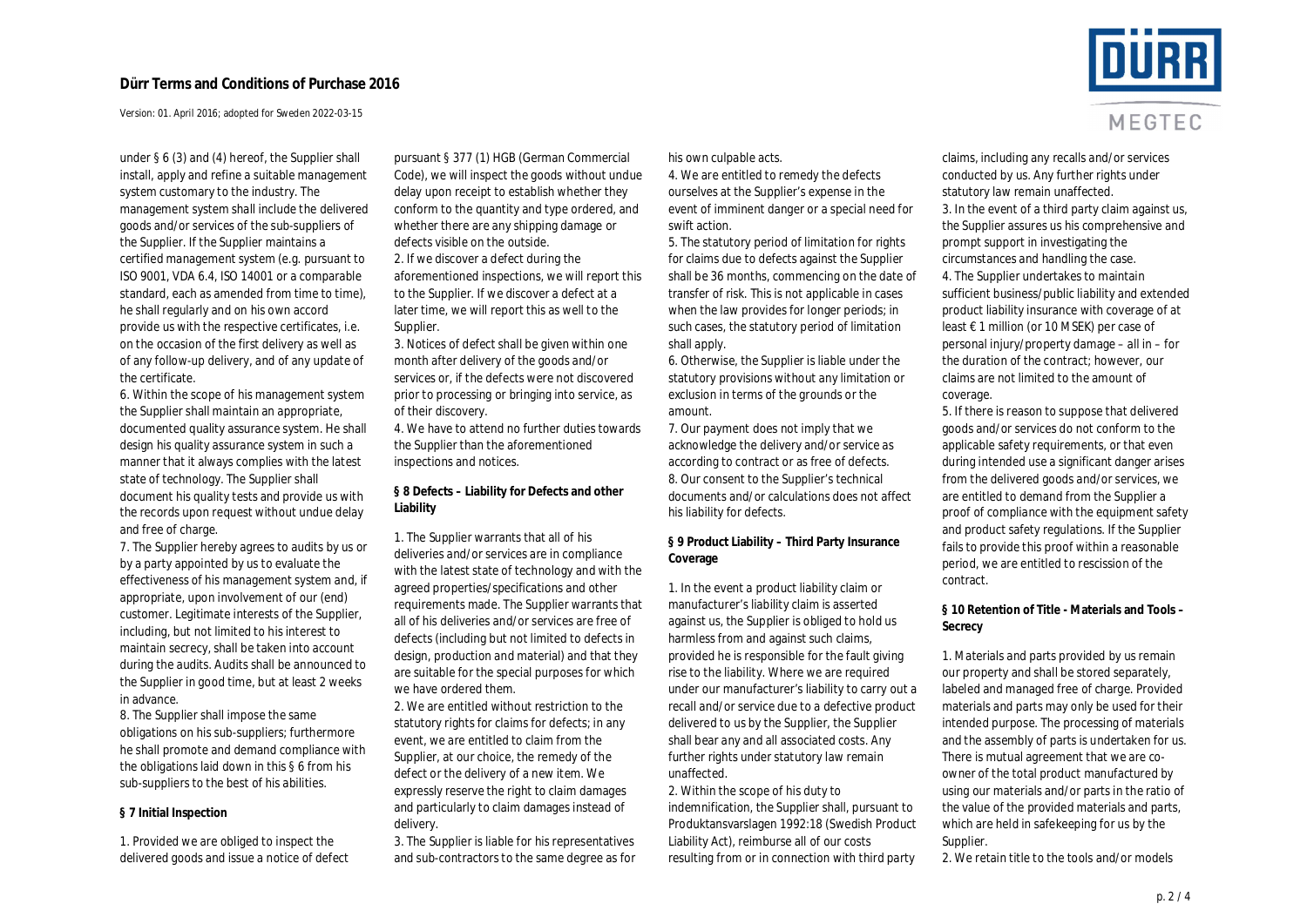Version: 01. April 2016; adopted for Sweden 2022-03-15

under § 6 (3) and (4) hereof, the Supplier shall install, apply and refine a suitable management system customary to the industry. The management system shall include the delivered goods and/or services of the sub-suppliers of the Supplier. If the Supplier maintains a certified management system (e.g. pursuant to ISO 9001, VDA 6.4, ISO 14001 or a comparable standard, each as amended from time to time), he shall regularly and on his own accord provide us with the respective certificates, i.e. on the occasion of the first delivery as well as of any follow-up delivery, and of any update of the certificate.

6. Within the scope of his management system the Supplier shall maintain an appropriate, documented quality assurance system. He shall design his quality assurance system in such a manner that it always complies with the latest state of technology. The Supplier shall document his quality tests and provide us with the records upon request without undue delay and free of charge.

7. The Supplier hereby agrees to audits by us or by a party appointed by us to evaluate the effectiveness of his management system and, if appropriate, upon involvement of our (end) customer. Legitimate interests of the Supplier, including, but not limited to his interest to maintain secrecy, shall be taken into account during the audits. Audits shall be announced to the Supplier in good time, but at least 2 weeks in advance.

8. The Supplier shall impose the same obligations on his sub-suppliers; furthermore he shall promote and demand compliance with the obligations laid down in this § 6 from his sub-suppliers to the best of his abilities.

## **§ 7 Initial Inspection**

1. Provided we are obliged to inspect the delivered goods and issue a notice of defect pursuant § 377 (1) HGB (German Commercial Code), we will inspect the goods without undue delay upon receipt to establish whether they conform to the quantity and type ordered, and whether there are any shipping damage or defects visible on the outside. 2. If we discover a defect during the aforementioned inspections, we will report this to the Supplier. If we discover a defect at a later time, we will report this as well to the Supplier.

3. Notices of defect shall be given within one month after delivery of the goods and/or services or, if the defects were not discovered prior to processing or bringing into service, as of their discovery.

4. We have to attend no further duties towards the Supplier than the aforementioned inspections and notices.

**§ 8 Defects – Liability for Defects and other Liability**

1. The Supplier warrants that all of his deliveries and/or services are in compliance with the latest state of technology and with the agreed properties/specifications and other requirements made. The Supplier warrants that all of his deliveries and/or services are free of defects (including but not limited to defects in design, production and material) and that they are suitable for the special purposes for which we have ordered them.

2. We are entitled without restriction to the statutory rights for claims for defects; in any event, we are entitled to claim from the Supplier, at our choice, the remedy of the defect or the delivery of a new item. We expressly reserve the right to claim damages and particularly to claim damages instead of delivery.

3. The Supplier is liable for his representatives and sub-contractors to the same degree as for his own culpable acts.

4. We are entitled to remedy the defects ourselves at the Supplier's expense in the event of imminent danger or a special need for swift action.

5. The statutory period of limitation for rights for claims due to defects against the Supplier shall be 36 months, commencing on the date of transfer of risk. This is not applicable in cases when the law provides for longer periods; in such cases, the statutory period of limitation shall apply.

6. Otherwise, the Supplier is liable under the statutory provisions without any limitation or exclusion in terms of the grounds or the amount.

7. Our payment does not imply that we acknowledge the delivery and/or service as according to contract or as free of defects. 8. Our consent to the Supplier's technical documents and/or calculations does not affect his liability for defects.

**§ 9 Product Liability – Third Party Insurance Coverage**

1. In the event a product liability claim or manufacturer's liability claim is asserted against us, the Supplier is obliged to hold us harmless from and against such claims, provided he is responsible for the fault giving rise to the liability. Where we are required under our manufacturer's liability to carry out a recall and/or service due to a defective product delivered to us by the Supplier, the Supplier shall bear any and all associated costs. Any further rights under statutory law remain unaffected.

2. Within the scope of his duty to indemnification, the Supplier shall, pursuant to Produktansvarslagen 1992:18 (Swedish Product Liability Act), reimburse all of our costs resulting from or in connection with third party



claims, including any recalls and/or services conducted by us. Any further rights under statutory law remain unaffected. 3. In the event of a third party claim against us, the Supplier assures us his comprehensive and prompt support in investigating the circumstances and handling the case. 4. The Supplier undertakes to maintain sufficient business/public liability and extended product liability insurance with coverage of at least € 1 million (or 10 MSEK) per case of personal injury/property damage – all in – for the duration of the contract; however, our claims are not limited to the amount of coverage.

5. If there is reason to suppose that delivered goods and/or services do not conform to the applicable safety requirements, or that even during intended use a significant danger arises from the delivered goods and/or services, we are entitled to demand from the Supplier a proof of compliance with the equipment safety and product safety regulations. If the Supplier fails to provide this proof within a reasonable period, we are entitled to rescission of the contract.

**§ 10 Retention of Title - Materials and Tools – Secrecy**

1. Materials and parts provided by us remain our property and shall be stored separately, labeled and managed free of charge. Provided materials and parts may only be used for their intended purpose. The processing of materials and the assembly of parts is undertaken for us. There is mutual agreement that we are coowner of the total product manufactured by using our materials and/or parts in the ratio of the value of the provided materials and parts, which are held in safekeeping for us by the Supplier.

2. We retain title to the tools and/or models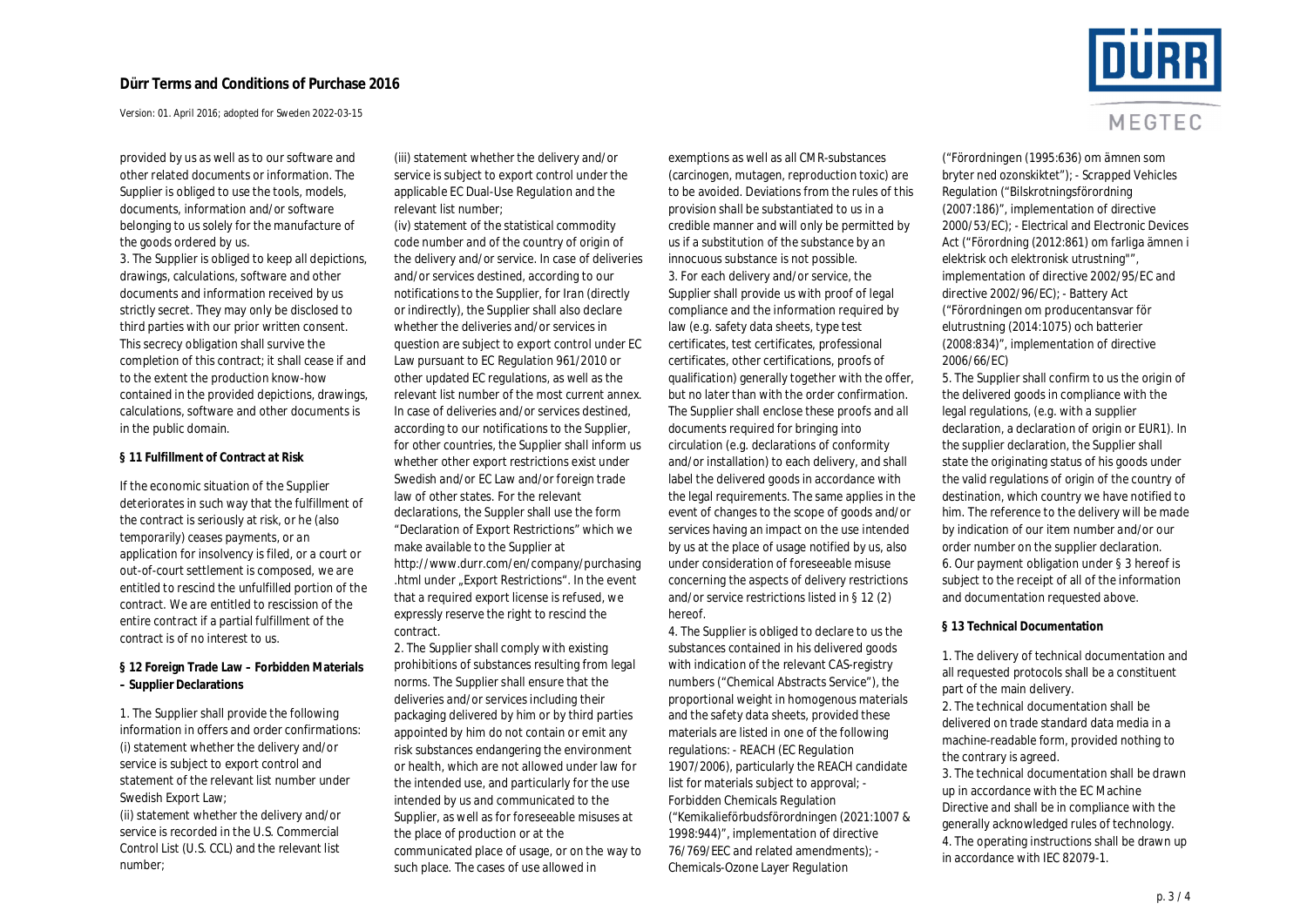Version: 01. April 2016; adopted for Sweden 2022-03-15

provided by us as well as to our software and other related documents or information. The Supplier is obliged to use the tools, models, documents, information and/or software belonging to us solely for the manufacture of the goods ordered by us.

3. The Supplier is obliged to keep all depictions, drawings, calculations, software and other documents and information received by us strictly secret. They may only be disclosed to third parties with our prior written consent. This secrecy obligation shall survive the completion of this contract; it shall cease if and to the extent the production know-how contained in the provided depictions, drawings, calculations, software and other documents is in the public domain.

**§ 11 Fulfillment of Contract at Risk**

If the economic situation of the Supplier deteriorates in such way that the fulfillment of the contract is seriously at risk, or he (also temporarily) ceases payments, or an application for insolvency is filed, or a court or out-of-court settlement is composed, we are entitled to rescind the unfulfilled portion of the contract. We are entitled to rescission of the entire contract if a partial fulfillment of the contract is of no interest to us.

**§ 12 Foreign Trade Law – Forbidden Materials – Supplier Declarations**

1. The Supplier shall provide the following information in offers and order confirmations: (i) statement whether the delivery and/or service is subject to export control and statement of the relevant list number under Swedish Export Law;

(ii) statement whether the delivery and/or service is recorded in the U.S. Commercial Control List (U.S. CCL) and the relevant list number;

(iii) statement whether the delivery and/or service is subject to export control under the applicable EC Dual-Use Regulation and the relevant list number;

(iv) statement of the statistical commodity code number and of the country of origin of the delivery and/or service. In case of deliveries and/or services destined, according to our notifications to the Supplier, for Iran (directly or indirectly), the Supplier shall also declare whether the deliveries and/or services in question are subject to export control under EC Law pursuant to EC Regulation 961/2010 or other updated EC regulations, as well as the relevant list number of the most current annex. In case of deliveries and/or services destined, according to our notifications to the Supplier, for other countries, the Supplier shall inform us whether other export restrictions exist under Swedish and/or EC Law and/or foreign trade law of other states. For the relevant declarations, the Suppler shall use the form "Declaration of Export Restrictions" which we make available to the Supplier at http://www.durr.com/en/company/purchasing .html under "Export Restrictions". In the event that a required export license is refused, we expressly reserve the right to rescind the contract.

2. The Supplier shall comply with existing prohibitions of substances resulting from legal norms. The Supplier shall ensure that the deliveries and/or services including their packaging delivered by him or by third parties appointed by him do not contain or emit any risk substances endangering the environment or health, which are not allowed under law for the intended use, and particularly for the use intended by us and communicated to the Supplier, as well as for foreseeable misuses at the place of production or at the communicated place of usage, or on the way to such place. The cases of use allowed in

exemptions as well as all CMR-substances (carcinogen, mutagen, reproduction toxic) are to be avoided. Deviations from the rules of this provision shall be substantiated to us in a credible manner and will only be permitted by us if a substitution of the substance by an innocuous substance is not possible. 3. For each delivery and/or service, the Supplier shall provide us with proof of legal compliance and the information required by law (e.g. safety data sheets, type test certificates, test certificates, professional certificates, other certifications, proofs of qualification) generally together with the offer, but no later than with the order confirmation. The Supplier shall enclose these proofs and all documents required for bringing into circulation (e.g. declarations of conformity and/or installation) to each delivery, and shall label the delivered goods in accordance with the legal requirements. The same applies in the event of changes to the scope of goods and/or services having an impact on the use intended by us at the place of usage notified by us, also under consideration of foreseeable misuse concerning the aspects of delivery restrictions and/or service restrictions listed in § 12 (2) hereof.

4. The Supplier is obliged to declare to us the substances contained in his delivered goods with indication of the relevant CAS-registry numbers ("Chemical Abstracts Service"), the proportional weight in homogenous materials and the safety data sheets, provided these materials are listed in one of the following regulations: - REACH (EC Regulation 1907/2006), particularly the REACH candidate list for materials subject to approval; - Forbidden Chemicals Regulation ("Kemikalieförbudsförordningen (2021:1007 & 1998:944)", implementation of directive 76/769/EEC and related amendments); - Chemicals-Ozone Layer Regulation



MEGTEC

("Förordningen (1995:636) om ämnen som bryter ned ozonskiktet"); - Scrapped Vehicles Regulation ("Bilskrotningsförordning (2007:186)", implementation of directive 2000/53/EC); - Electrical and Electronic Devices Act ("Förordning (2012:861) om farliga ämnen i elektrisk och elektronisk utrustning"", implementation of directive 2002/95/EC and directive 2002/96/EC); - Battery Act ("Förordningen om producentansvar för elutrustning (2014:1075) och batterier (2008:834)", implementation of directive 2006/66/EC)

5. The Supplier shall confirm to us the origin of the delivered goods in compliance with the legal regulations, (e.g. with a supplier declaration, a declaration of origin or EUR1). In the supplier declaration, the Supplier shall state the originating status of his goods under the valid regulations of origin of the country of destination, which country we have notified to him. The reference to the delivery will be made by indication of our item number and/or our order number on the supplier declaration. 6. Our payment obligation under § 3 hereof is subject to the receipt of all of the information and documentation requested above.

**§ 13 Technical Documentation**

1. The delivery of technical documentation and all requested protocols shall be a constituent part of the main delivery.

2. The technical documentation shall be delivered on trade standard data media in a machine-readable form, provided nothing to the contrary is agreed.

3. The technical documentation shall be drawn up in accordance with the EC Machine Directive and shall be in compliance with the generally acknowledged rules of technology. 4. The operating instructions shall be drawn up in accordance with IEC 82079-1.